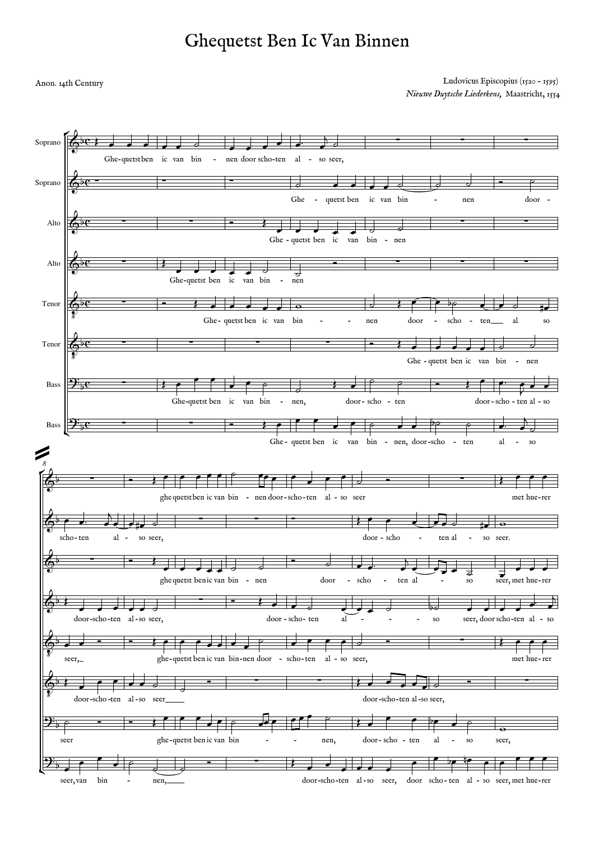## Ghequetst Ben Ic Van Binnen

*Nieuwe Duytsche Liederkens,* Maastricht, 1554 Anon. 14th Century **Ludovicus Episcopius (1520 - 1595)** 

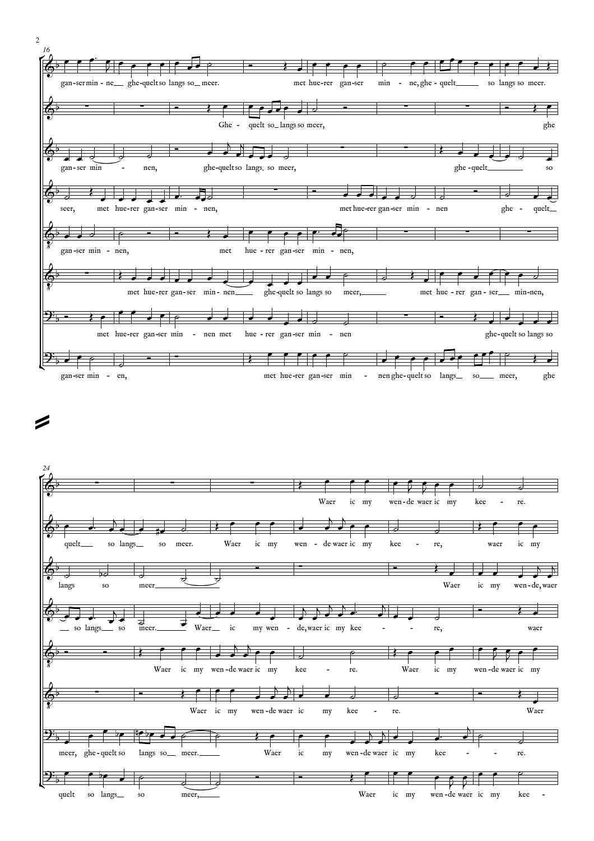

Í

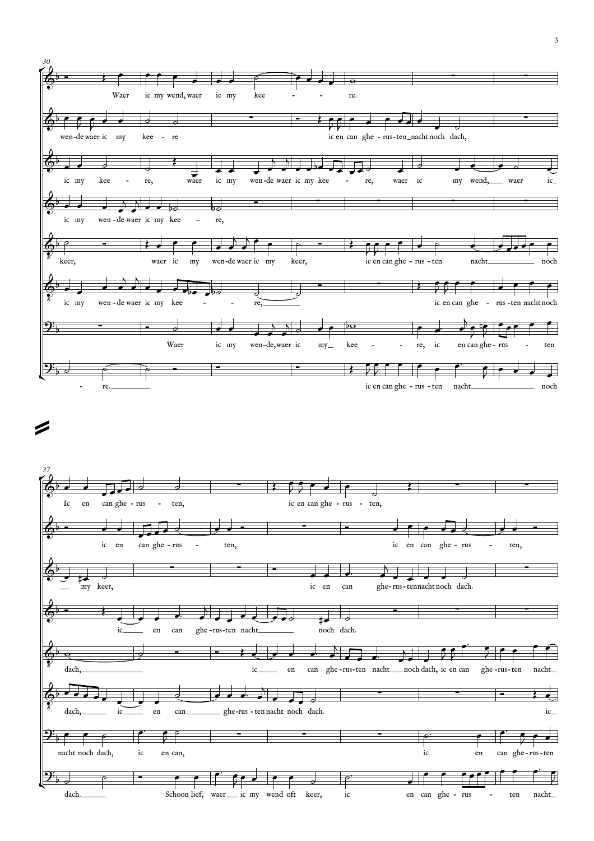

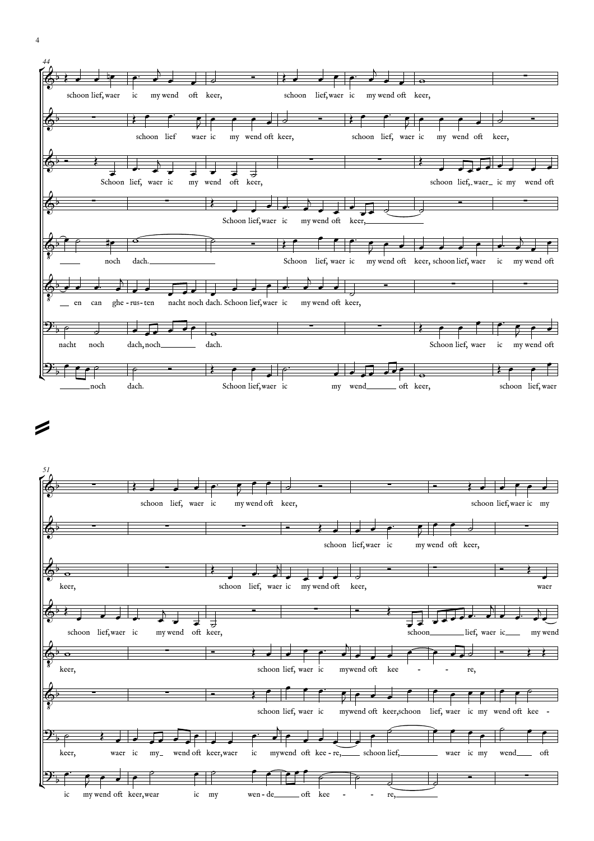



4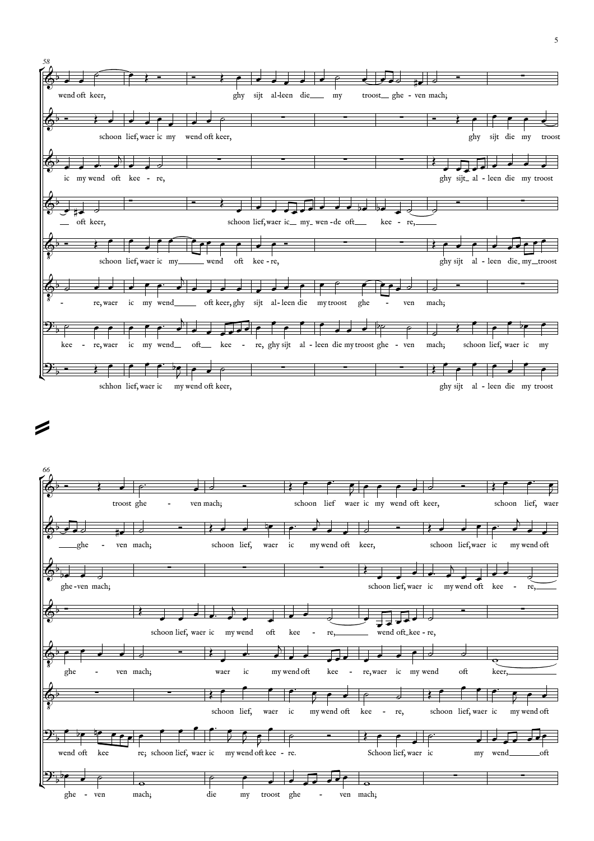

Í

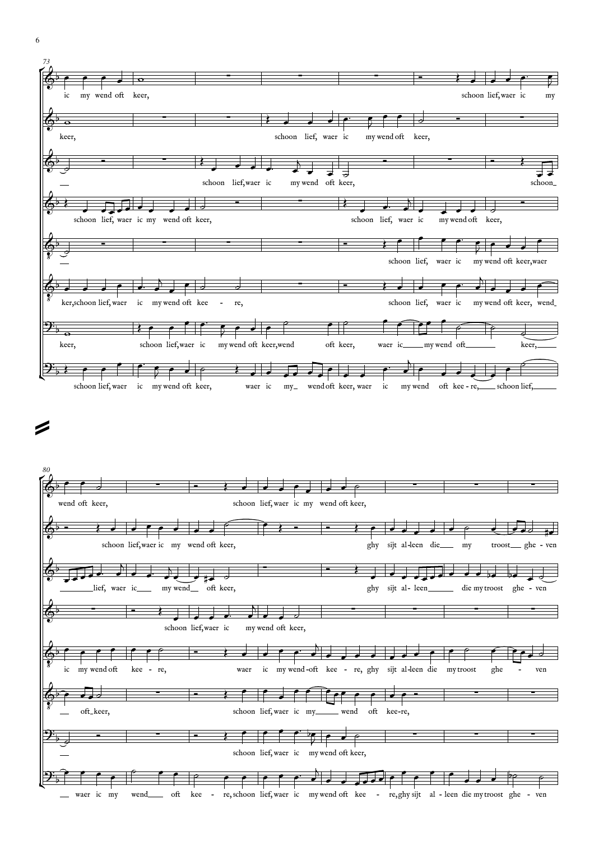



6

Í